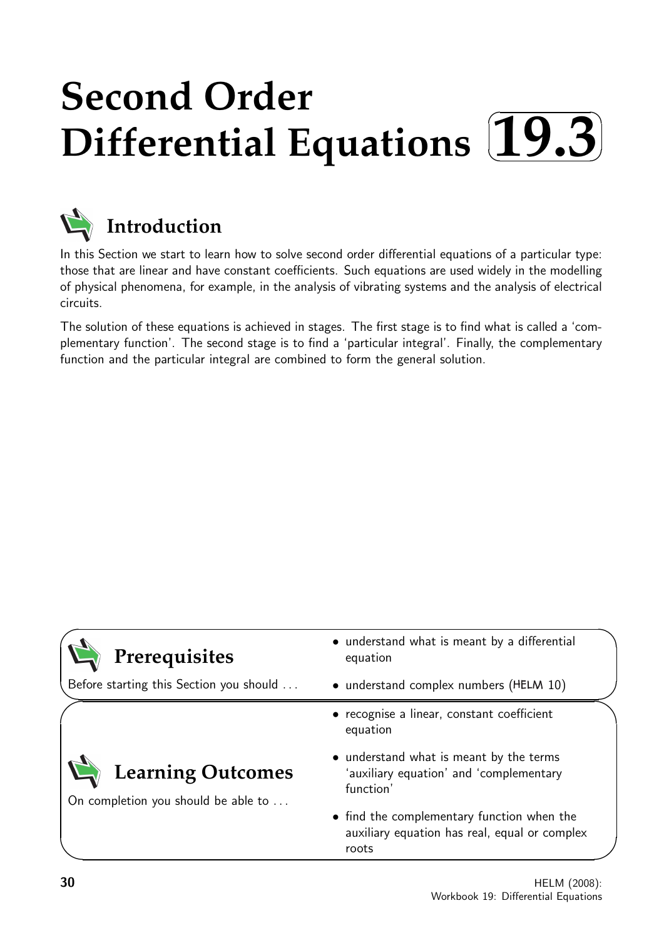## **Second Order Differential Equations**  $\sqrt{2}$ ✒ **19.3**✑ ✏



**Introduction**

In this Section we start to learn how to solve second order differential equations of a particular type: those that are linear and have constant coefficients. Such equations are used widely in the modelling of physical phenomena, for example, in the analysis of vibrating systems and the analysis of electrical circuits.

The solution of these equations is achieved in stages. The first stage is to find what is called a 'complementary function'. The second stage is to find a 'particular integral'. Finally, the complementary function and the particular integral are combined to form the general solution.

| Prerequisites                                            | • understand what is meant by a differential<br>equation                                             |  |
|----------------------------------------------------------|------------------------------------------------------------------------------------------------------|--|
| Before starting this Section you should                  | • understand complex numbers (HELM 10)                                                               |  |
|                                                          | • recognise a linear, constant coefficient<br>equation                                               |  |
| Learning Outcomes<br>On completion you should be able to | • understand what is meant by the terms<br>'auxiliary equation' and 'complementary<br>function'      |  |
|                                                          | • find the complementary function when the<br>auxiliary equation has real, equal or complex<br>roots |  |

 $\overline{\phantom{0}}$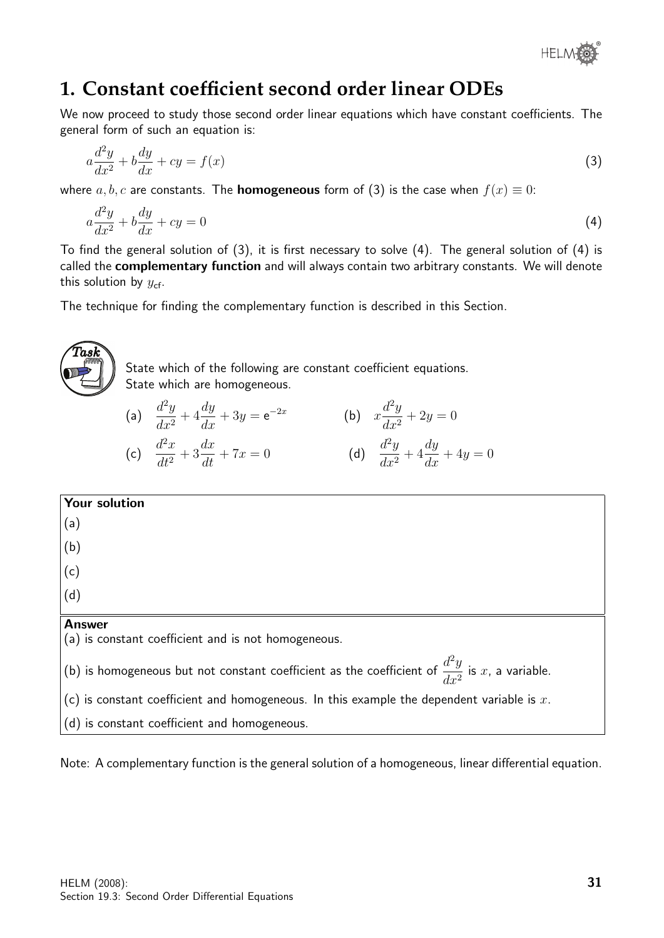

# **1. Constant coefficient second order linear ODEs**

We now proceed to study those second order linear equations which have constant coefficients. The general form of such an equation is:

$$
a\frac{d^2y}{dx^2} + b\frac{dy}{dx} + cy = f(x)
$$
\n(3)

where a, b, c are constants. The **homogeneous** form of (3) is the case when  $f(x) \equiv 0$ :

$$
a\frac{d^2y}{dx^2} + b\frac{dy}{dx} + cy = 0\tag{4}
$$

To find the general solution of (3), it is first necessary to solve (4). The general solution of (4) is called the **complementary function** and will always contain two arbitrary constants. We will denote this solution by  $y_{cf.}$ 

The technique for finding the complementary function is described in this Section.



Note: A complementary function is the general solution of a homogeneous, linear differential equation.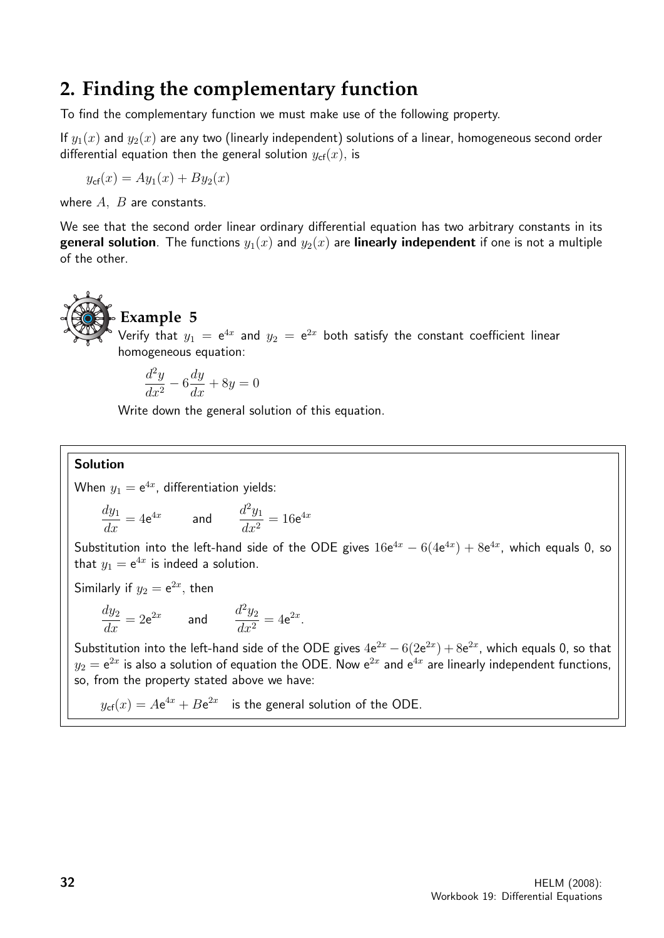# **2. Finding the complementary function**

To find the complementary function we must make use of the following property.

If  $y_1(x)$  and  $y_2(x)$  are any two (linearly independent) solutions of a linear, homogeneous second order differential equation then the general solution  $y_{\text{cf}}(x)$ , is

 $y_{\rm cf}(x) = Ay_1(x) + By_2(x)$ 

where  $A$ ,  $B$  are constants.

We see that the second order linear ordinary differential equation has two arbitrary constants in its **general solution**. The functions  $y_1(x)$  and  $y_2(x)$  are **linearly independent** if one is not a multiple of the other.



# **Example 5**

Verify that  $y_1$   $=$   $\mathrm{e}^{4x}$  and  $y_2$   $=$   $\mathrm{e}^{2x}$  both satisfy the constant coefficient linear homogeneous equation:

$$
\frac{d^2y}{dx^2} - 6\frac{dy}{dx} + 8y = 0
$$

Write down the general solution of this equation.

### Solution

When  $y_1 = e^{4x}$ , differentiation yields:

$$
\frac{dy_1}{dx} = 4e^{4x} \qquad \text{and} \qquad \frac{d^2y_1}{dx^2} = 16e^{4x}
$$

Substitution into the left-hand side of the ODE gives  $16e^{4x} - 6(4e^{4x}) + 8e^{4x}$ , which equals 0, so that  $y_1 = e^{4x}$  is indeed a solution.

Similarly if  $y_2 = e^{2x}$ , then

$$
\frac{dy_2}{dx} = 2e^{2x} \qquad \text{and} \qquad \frac{d^2y_2}{dx^2} = 4e^{2x}.
$$

Substitution into the left-hand side of the ODE gives  $4e^{2x} - 6(2e^{2x}) + 8e^{2x}$ , which equals 0, so that  $y_2=\mathrm{e}^{2x}$  is also a solution of equation the ODE. Now  $\mathrm{e}^{2x}$  and  $\mathrm{e}^{4x}$  are linearly independent functions, so, from the property stated above we have:

 $y_{\text{cf}}(x)=A\text{e}^{4x}+B\text{e}^{2x}$  is the general solution of the ODE.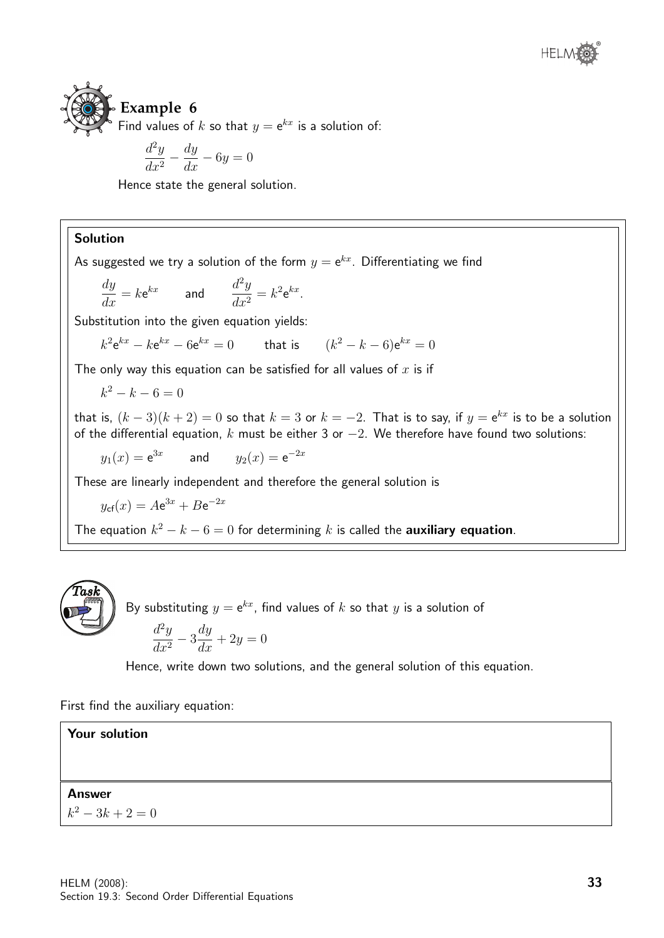# **Example 6** Find values of k so that  $y = e^{kx}$  is a solution of:

d values of 
$$
k
$$
 so that  

$$
d^2y \quad dy
$$

$$
\frac{dy}{dx^2} - \frac{dy}{dx} - 6y = 0
$$

Hence state the general solution.

### Solution

As suggested we try a solution of the form  $y={\sf e}^{kx}.$  Differentiating we find

$$
\frac{dy}{dx} = k \mathrm{e}^{kx} \quad \text{and} \quad \frac{d^2y}{dx^2} = k^2 \mathrm{e}^{kx}.
$$

Substitution into the given equation yields:

 $k^2 e^{kx} - k e^{kx} - 6 e^{kx} = 0$  that is  $(k$  $(k^2 - k - 6) e^{kx} = 0$ 

The only way this equation can be satisfied for all values of  $x$  is if

$$
k^2 - k - 6 = 0
$$

that is,  $(k-3)(k+2)=0$  so that  $k=3$  or  $k=-2.$  That is to say, if  $y={\rm e}^{kx}$  is to be a solution of the differential equation, k must be either 3 or  $-2$ . We therefore have found two solutions:

 $y_1(x) = e^{3x}$ and  $y_2(x) = e^{-2x}$ 

These are linearly independent and therefore the general solution is

$$
y_{\rm cf}(x) = A\mathrm{e}^{3x} + B\mathrm{e}^{-2x}
$$

The equation  $k^2 - k - 6 = 0$  for determining k is called the **auxiliary equation**.



By substituting  $y = e^{kx}$ , find values of  $k$  so that  $y$  is a solution of

$$
\frac{d^2y}{dx^2} - 3\frac{dy}{dx} + 2y = 0
$$

Hence, write down two solutions, and the general solution of this equation.

First find the auxiliary equation:

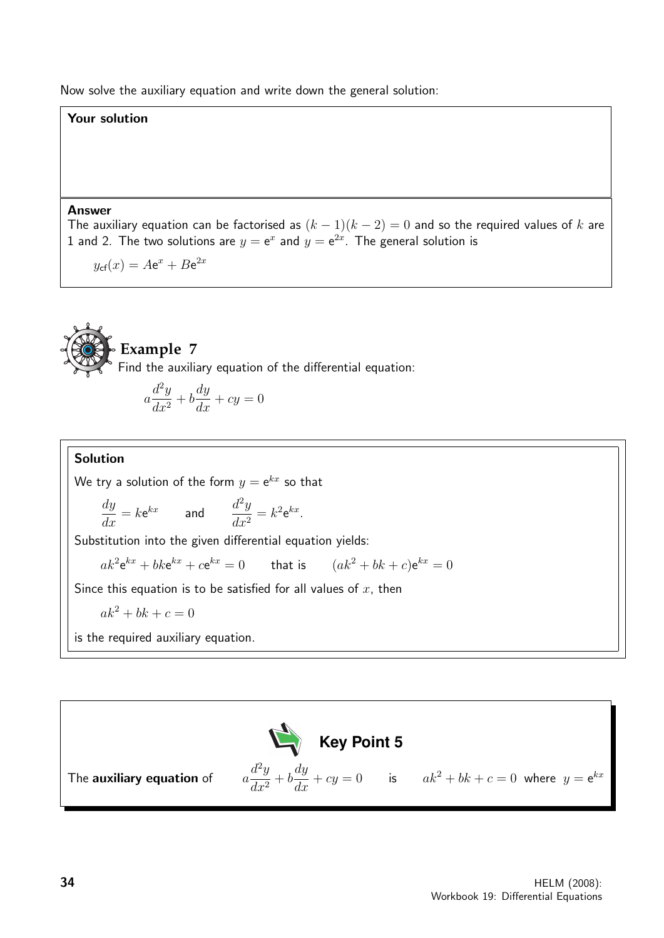Now solve the auxiliary equation and write down the general solution:

### Your solution

#### Answer

The auxiliary equation can be factorised as  $(k - 1)(k - 2) = 0$  and so the required values of k are 1 and 2. The two solutions are  $y = e^x$  and  $y = e^{2x}$ . The general solution is

 $y_{\text{cf}}(x) = A\text{e}^x + B\text{e}^{2x}$ 



# **Example 7**

Find the auxiliary equation of the differential equation:

$$
a\frac{d^2y}{dx^2} + b\frac{dy}{dx} + cy = 0
$$

### Solution

We try a solution of the form  $y={\mathsf e}^{kx}$  so that

$$
\frac{dy}{dx} = k \mathrm{e}^{kx} \quad \text{and} \quad \frac{d^2y}{dx^2} = k^2 \mathrm{e}^{kx}.
$$

Substitution into the given differential equation yields:

 $ak^2\mathbf{e}^{kx}+bk\mathbf{e}^{kx}+c\mathbf{e}^{kx}=0$  that is  $(ak^2+bk+c)\mathbf{e}^{kx}=0$ 

Since this equation is to be satisfied for all values of  $x$ , then

$$
ak^2 + bk + c = 0
$$

is the required auxiliary equation.

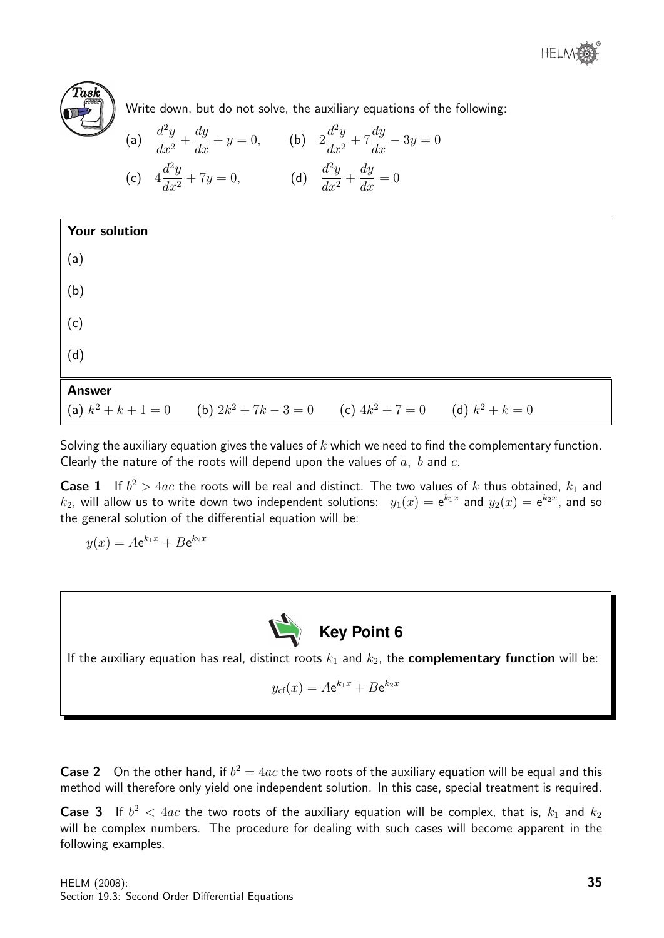



Write down, but do not solve, the auxiliary equations of the following:

(a) 
$$
\frac{d^2y}{dx^2} + \frac{dy}{dx} + y = 0
$$
, (b)  $2\frac{d^2y}{dx^2} + 7\frac{dy}{dx} - 3y = 0$   
(c)  $4\frac{d^2y}{dx^2} + 7y = 0$ , (d)  $\frac{d^2y}{dx^2} + \frac{dy}{dx} = 0$ 

| <b>Your solution</b> |                                                                                    |  |
|----------------------|------------------------------------------------------------------------------------|--|
| (a)                  |                                                                                    |  |
| (b)                  |                                                                                    |  |
| (c)                  |                                                                                    |  |
| (d)                  |                                                                                    |  |
| <b>Answer</b>        |                                                                                    |  |
|                      | (a) $k^2 + k + 1 = 0$ (b) $2k^2 + 7k - 3 = 0$ (c) $4k^2 + 7 = 0$ (d) $k^2 + k = 0$ |  |

Solving the auxiliary equation gives the values of  $k$  which we need to find the complementary function. Clearly the nature of the roots will depend upon the values of  $a, b$  and  $c.$ 

**Case 1** If  $b^2 > 4ac$  the roots will be real and distinct. The two values of k thus obtained,  $k_1$  and  $k_2$ , will allow us to write down two independent solutions:  $\;y_1(x)={\sf e}^{k_1x}\;$  and  $y_2(x)={\sf e}^{k_2x},$  and so the general solution of the differential equation will be:

 $y(x) = Ae^{k_1x} + Be^{k_2x}$ 



If the auxiliary equation has real, distinct roots  $k_1$  and  $k_2$ , the **complementary function** will be:

$$
y_{\text{cf}}(x) = A\mathrm{e}^{k_1x} + B\mathrm{e}^{k_2x}
$$

**Case 2** On the other hand, if  $b^2 = 4ac$  the two roots of the auxiliary equation will be equal and this method will therefore only yield one independent solution. In this case, special treatment is required.

**Case 3** If  $b^2 < 4ac$  the two roots of the auxiliary equation will be complex, that is,  $k_1$  and  $k_2$ will be complex numbers. The procedure for dealing with such cases will become apparent in the following examples.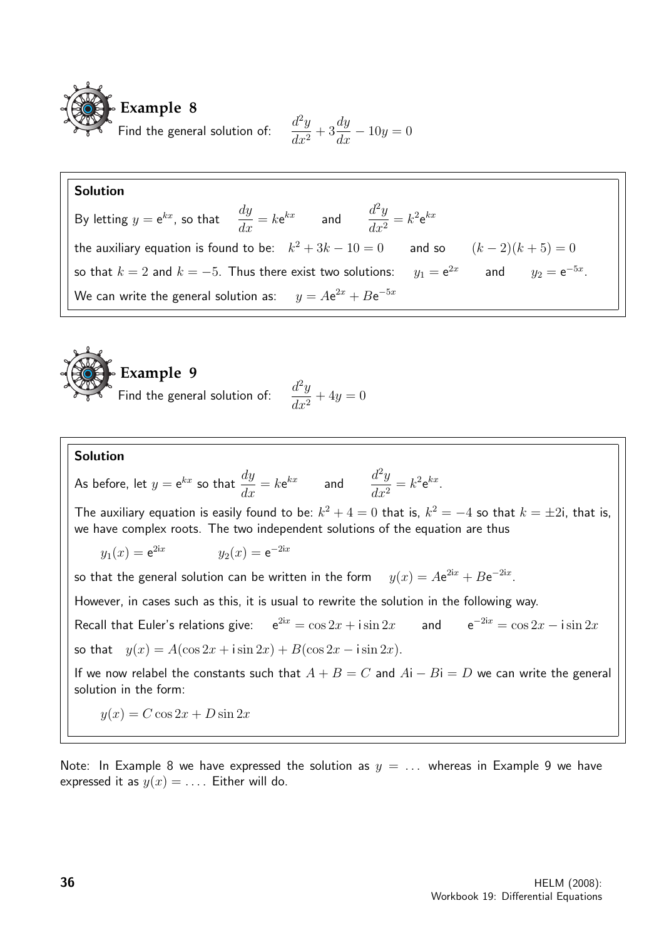

$$
\frac{d^2y}{dx^2} + 3\frac{dy}{dx} - 10y = 0
$$

### Solution

By letting  $y = e^{kx}$ , so that  $\frac{dy}{dx}$  $\frac{dy}{dx} = k$ e  $\int_{kx}^{kx}$  and  $\int_{l=2}^{l^2y}$  $\frac{d^2y}{dx^2} = k^2 e^{kx}$ the auxiliary equation is found to be:  $k^2 + 3k - 10 = 0$  and so  $(k-2)(k+5) = 0$ so that  $k=2$  and  $k=-5$ . Thus there exist two solutions:  $y_1 = e^{2x}$  and  $y_2 = e^{-5x}$ . We can write the general solution as:  $y = A{\rm e}^{2x}+B{\rm e}^{-5x}$ 



Figure 9  
general solution of: 
$$
\frac{d^2y}{dx^2} + 4y = 0
$$

### Solution

As before, let  $y = e^{kx}$  so that  $\frac{dy}{dx}$  $\frac{dy}{dx} = k$ e  $\int_{kx}^{kx}$  and  $\int_{l=2}^{l^2y}$  $\frac{d^2y}{dx^2} = k^2 e^{kx}.$ 

The auxiliary equation is easily found to be:  $k^2+4=0$  that is,  $k^2=-4$  so that  $k=\pm 2$ i, that is, we have complex roots. The two independent solutions of the equation are thus

 $y_1(x) = e^{2ix}$  $y_2(x) = e^{-2ix}$ 

so that the general solution can be written in the form  $e^{2ix} + Be^{-2ix}$ .

However, in cases such as this, it is usual to rewrite the solution in the following way.

Recall that Euler's relations give:  $e^{2ix} = \cos 2x + i \sin 2x$  and  $e^{-2ix} = \cos 2x - i \sin 2x$ so that  $y(x) = A(\cos 2x + i \sin 2x) + B(\cos 2x - i \sin 2x)$ .

If we now relabel the constants such that  $A + B = C$  and  $Ai - Bi = D$  we can write the general solution in the form:

 $y(x) = C \cos 2x + D \sin 2x$ 

Note: In Example 8 we have expressed the solution as  $y = ...$  whereas in Example 9 we have expressed it as  $y(x) = \ldots$ . Either will do.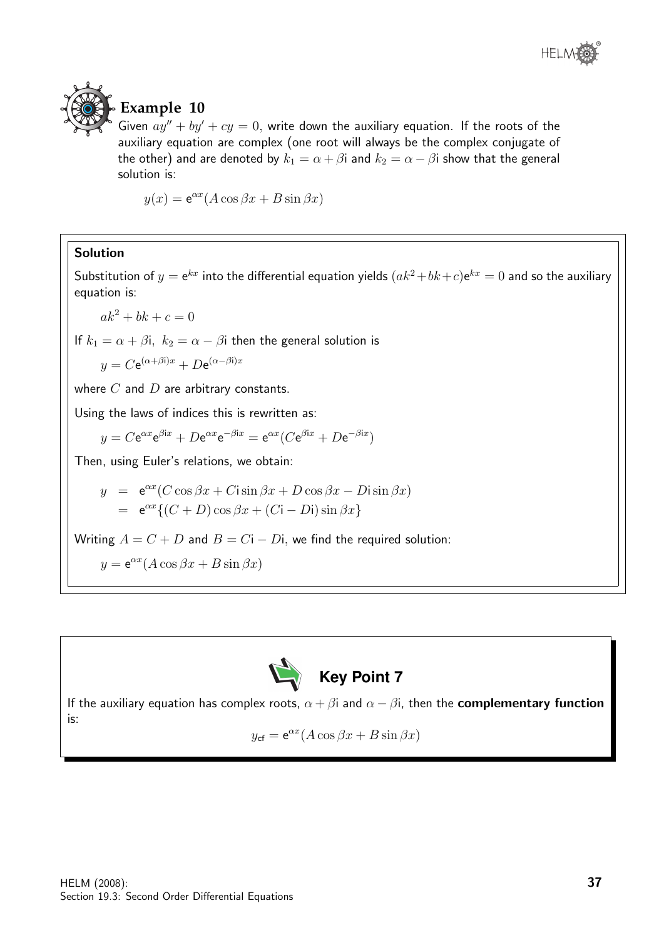



### **Example 10**

Given  $ay'' + by' + cy = 0$ , write down the auxiliary equation. If the roots of the auxiliary equation are complex (one root will always be the complex conjugate of the other) and are denoted by  $k_1 = \alpha + \beta i$  and  $k_2 = \alpha - \beta i$  show that the general solution is:

 $y(x) = e^{\alpha x} (A \cos \beta x + B \sin \beta x)$ 

### Solution

Substitution of  $y = e^{kx}$  into the differential equation yields  $(ak^2 + bk + c)e^{kx} = 0$  and so the auxiliary equation is:

 $ak^{2} + bk + c = 0$ 

If  $k_1 = \alpha + \beta$ i,  $k_2 = \alpha - \beta$ i then the general solution is

$$
y = C e^{(\alpha + \beta i)x} + D e^{(\alpha - \beta i)x}
$$

where  $C$  and  $D$  are arbitrary constants.

Using the laws of indices this is rewritten as:

$$
y = C e^{\alpha x} e^{\beta i x} + D e^{\alpha x} e^{-\beta i x} = e^{\alpha x} (C e^{\beta i x} + D e^{-\beta i x})
$$

Then, using Euler's relations, we obtain:

$$
y = e^{\alpha x} (C \cos \beta x + C i \sin \beta x + D \cos \beta x - D i \sin \beta x)
$$
  
=  $e^{\alpha x} \{ (C + D) \cos \beta x + (C i - D i) \sin \beta x \}$ 

Writing  $A = C + D$  and  $B = Ci - Di$ , we find the required solution:

$$
y = e^{\alpha x} (A \cos \beta x + B \sin \beta x)
$$



If the auxiliary equation has complex roots,  $\alpha + \beta i$  and  $\alpha - \beta i$ , then the **complementary function** is:

$$
y_{\rm cf} = e^{\alpha x} (A \cos \beta x + B \sin \beta x)
$$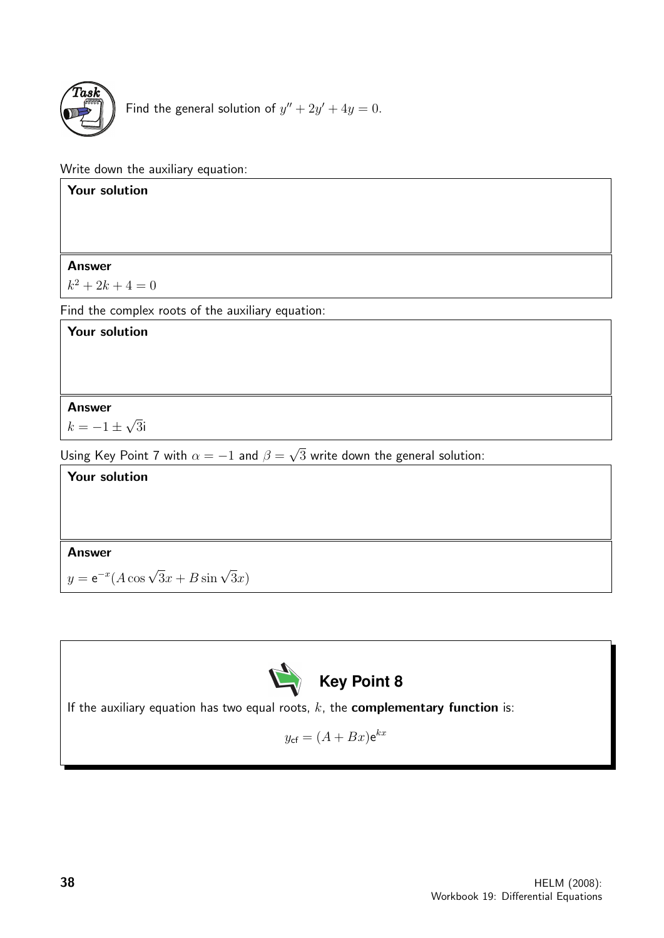

Find the general solution of  $y'' + 2y' + 4y = 0$ .

Write down the auxiliary equation:

| Your solution                                                                                |
|----------------------------------------------------------------------------------------------|
|                                                                                              |
|                                                                                              |
| <b>Answer</b>                                                                                |
| $k^2 + 2k + 4 = 0$                                                                           |
| Find the complex roots of the auxiliary equation:                                            |
| <b>Your solution</b>                                                                         |
|                                                                                              |
|                                                                                              |
| <b>Answer</b>                                                                                |
| $k=-1\pm\sqrt{3}i$                                                                           |
| Using Key Point 7 with $\alpha = -1$ and $\beta = \sqrt{3}$ write down the general solution: |
| <b>Your solution</b>                                                                         |
|                                                                                              |
|                                                                                              |
| <b>Answer</b>                                                                                |
| $y = e^{-x} (A \cos \sqrt{3}x + B \sin \sqrt{3}x)$                                           |



If the auxiliary equation has two equal roots,  $k$ , the **complementary function** is:

$$
y_{\rm cf} = (A + Bx)e^{kx}
$$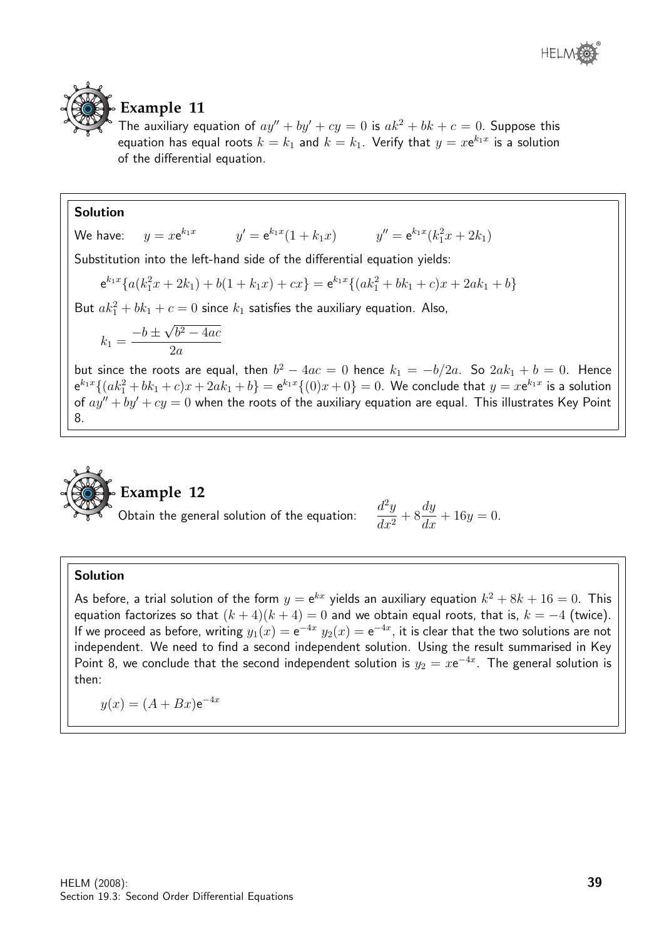



### **Example 11**

The auxiliary equation of  $ay'' + by' + cy = 0$  is  $ak^2 + bk + c = 0$ . Suppose this equation has equal roots  $k=k_1$  and  $k=k_1$ . Verify that  $y=x{\mathsf{e}}^{k_1x}$  is a solution of the differential equation.

### Solution

We have:  $k_1x$   $y' = e^{k_1x}(1+k_1x)$   $y'' = e^{k_1x}(k_1^2x+2k_1)$ Substitution into the left-hand side of the differential equation yields:

$$
e^{k_1x} \{ a(k_1^2x + 2k_1) + b(1 + k_1x) + cx \} = e^{k_1x} \{ (ak_1^2 + bk_1 + c)x + 2ak_1 + b \}
$$
  
But  $ak_1^2 + bk_1 + c = 0$  since  $k_1$  satisfies the auxiliary equation. Also,

$$
k_1 = \frac{-b \pm \sqrt{b^2 - 4ac}}{2a}
$$

but since the roots are equal, then  $b^2 - 4ac = 0$  hence  $k_1 = -b/2a$ . So  $2ak_1 + b = 0$ . Hence  ${\sf e}^{k_1x}\{(ak_1^2+bk_1+c)x+2ak_1+b\}={\sf e}^{k_1x}\{(0)x+0\}=0.$  We conclude that  $y= x{\sf e}^{k_1x}$  is a solution of  $ay'' + by' + cy = 0$  when the roots of the auxiliary equation are equal. This illustrates Key Point 8.



# **Example 12**

Obtain the general solution of the equation:

$$
\frac{d^2y}{dx^2} + 8\frac{dy}{dx} + 16y = 0.
$$

### Solution

As before, a trial solution of the form  $y={\rm e}^{kx}$  yields an auxiliary equation  $k^2+8k+16=0.$  This equation factorizes so that  $(k+4)(k+4) = 0$  and we obtain equal roots, that is,  $k = -4$  (twice). If we proceed as before, writing  $y_1(x)=\mathrm{e}^{-4x}$   $y_2(x)=\mathrm{e}^{-4x},$  it is clear that the two solutions are not independent. We need to find a second independent solution. Using the result summarised in Key Point 8, we conclude that the second independent solution is  $y_2 = x e^{-4x}$ . The general solution is then:

$$
y(x) = (A + Bx)e^{-4x}
$$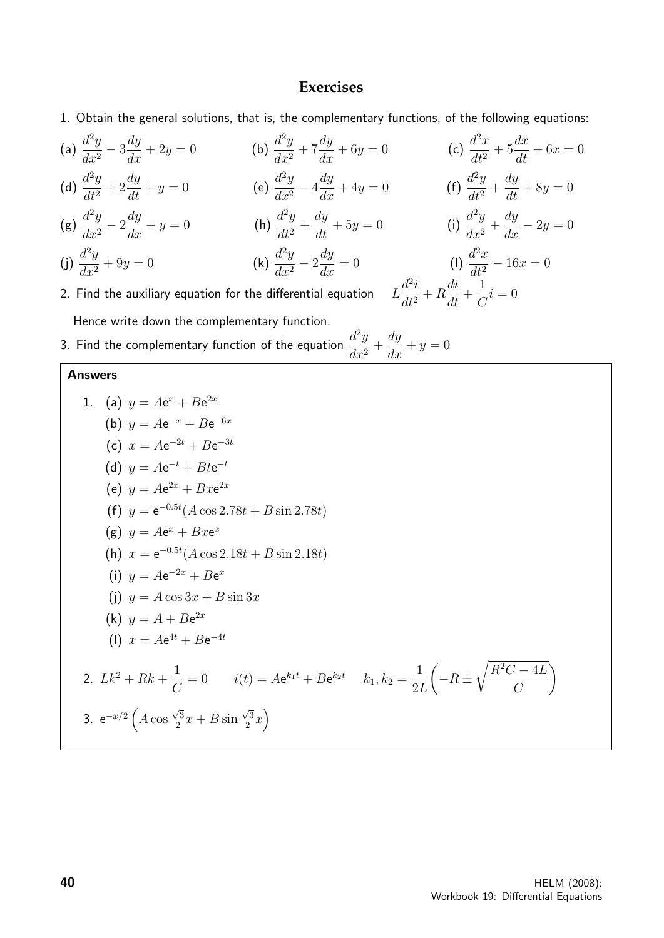### **Exercises**

- 1. Obtain the general solutions, that is, the complementary functions, of the following equations:
- (a)  $\frac{d^2y}{dx^2}$  $dx^2$  $-3\frac{dy}{dx}$  $\frac{dy}{dx} + 2y = 0$  (b)  $\frac{d^2y}{dx^2}$  $\frac{d^2y}{dx^2} + 7$  $\frac{dy}{dx} + 6y = 0$  (c)  $\frac{d^2x}{dt^2}$  $\frac{d^2}{dt^2} + 5$  $dx$  $\frac{dx}{dt} + 6x = 0$
- (d)  $\frac{d^2y}{dt^2}$  $\frac{d}{dt^2} + 2$  $\frac{dy}{dt} + y = 0$  (e)  $\frac{d^2y}{dx^2}$  $dx^2$  $-4\frac{dy}{dx} + 4y = 0$  (f)  $\frac{d^2y}{dt^2}$  $\frac{d}{dt^2} +$ dy  $\frac{dy}{dt} + 8y = 0$
- $(g) \frac{d^2y}{dx^2}$  $dx^2$  $-2\frac{dy}{dx} + y = 0$  (h)  $\frac{d^2y}{dt^2}$  $\frac{d^2y}{dt^2} +$  $\frac{dy}{dt} + 5y = 0$  (i)  $\frac{d^2y}{dx^2}$  $\frac{d^{2}y}{dx^{2}} +$  $\frac{dy}{dx} - 2y = 0$
- (j)  $\frac{d^2y}{dx^2}$  $dx^2$  $^{2}y$  $dx^2$  $-2\frac{dy}{dx} = 0$  (I)  $\frac{d^2x}{dt^2}$

2. Find the auxiliary equation for the differential equation  $L$ Hence write down the complementary function.

3. Find the complementary function of the equation  $\frac{d^2y}{dx^2}$  $\frac{d^{2}y}{dx^{2}} +$ dy  $\frac{dy}{dx} + y = 0$ 

### Answers

1. (a)  $y = Ae^{x} + Be^{2x}$ (b)  $y = Ae^{-x} + Be^{-6x}$ (c)  $x = Ae^{-2t} + Be^{-3t}$ (d)  $y = Ae^{-t} + Bte^{-t}$ (e)  $y = Ae^{2x} + Bxe^{2x}$ (f)  $y = e^{-0.5t} (A \cos 2.78t + B \sin 2.78t)$ (g)  $y = Ae^x + Bxe^x$ (h)  $x = e^{-0.5t} (A \cos 2.18t + B \sin 2.18t)$ (i)  $y = Ae^{-2x} + Be^{x}$ (i)  $y = A \cos 3x + B \sin 3x$ (k)  $y = A + Be^{2x}$ (1)  $x = Ae^{4t} + Be^{-4t}$ 2.  $Lk^2 + Rk + \frac{1}{6}$  $\mathcal{C}_{0}^{(n)}$  $= 0$   $i(t) = Ae^{k_1t} + Be^{k_2t}$   $k_1, k_2 = \frac{1}{2}$ 2L  $\sqrt{ }$  $-R \pm$  $R^2C - 4L$  $\mathcal{C}$  $\setminus$ 3.  $e^{-x/2}$   $\int A \cos \theta$  $\sqrt{3}$  $\frac{\sqrt{3}}{2}x + B \sin$  $\sqrt{3}$  $\sqrt{3}\overline{x}$ 

 $dt^2$ 

1  $\mathcal{C}$ 

 $i = 0$ 

di  $\frac{du}{dt} +$ 

 $d^2i$  $\frac{d}{dt^2} + R$   $-16x = 0$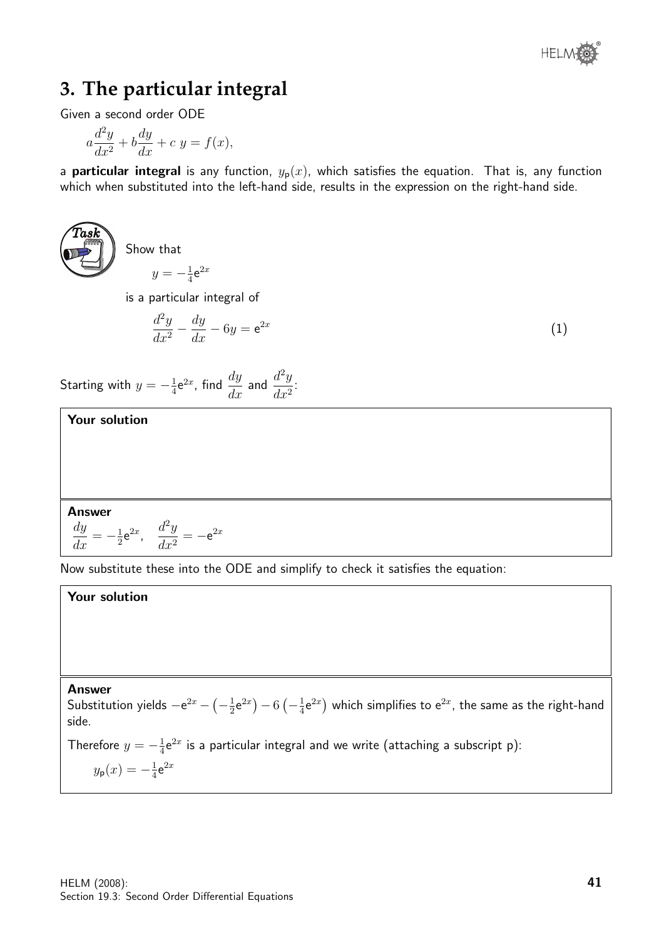# **3. The particular integral**

Given a second order ODE

$$
a\frac{d^2y}{dx^2} + b\frac{dy}{dx} + c y = f(x),
$$

a **particular integral** is any function,  $y_p(x)$ , which satisfies the equation. That is, any function which when substituted into the left-hand side, results in the expression on the right-hand side.



Show that

 $y = -\frac{1}{4}$  $\frac{1}{4}$ e $^{2x}$ 

is a particular integral of

$$
\frac{d^2y}{dx^2} - \frac{dy}{dx} - 6y = e^{2x} \tag{1}
$$

Starting with  $y = -\frac{1}{4}$  $rac{1}{4}$ e<sup>2x</sup>, find  $rac{dy}{dx}$  and  $rac{d^2y}{dx^2}$  $\frac{d}{dx^2}$ 

Your solution

Answer

$$
\frac{dy}{dx} = -\frac{1}{2}e^{2x}, \quad \frac{d^2y}{dx^2} = -e^{2x}
$$

Now substitute these into the ODE and simplify to check it satisfies the equation:

Your solution

### Answer

Substitution yields  $-e^{2x} - \left(-\frac{1}{2}\right)$  $\frac{1}{2}$ e<sup>2x</sup> $-6(-\frac{1}{4})$  $\frac{1}{4}$ e $^{2x}$ ) which simplifies to e $^{2x}$ , the same as the right-hand side.

Therefore  $y = -\frac{1}{4}$  $\frac{1}{4}$ e $^{2x}$  is a particular integral and we write (attaching a subscript p):  $y_{\sf p}(x) = -\frac{1}{4}$  $rac{1}{4}$ e $2x$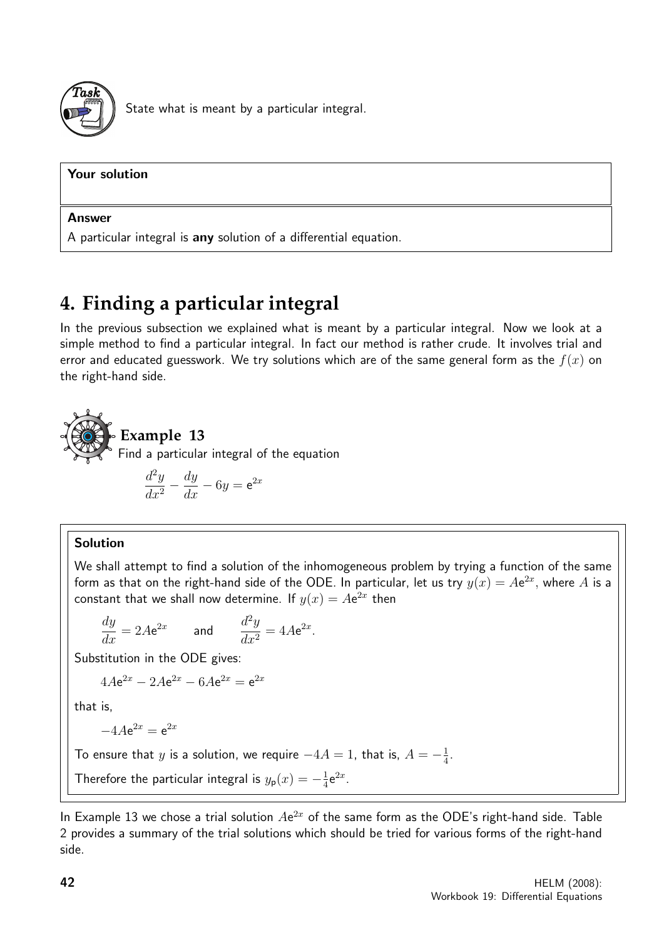

State what is meant by a particular integral.

| Your solution                                                     |
|-------------------------------------------------------------------|
| <b>Answer</b>                                                     |
| A particular integral is any solution of a differential equation. |

# **4. Finding a particular integral**

In the previous subsection we explained what is meant by a particular integral. Now we look at a simple method to find a particular integral. In fact our method is rather crude. It involves trial and error and educated guesswork. We try solutions which are of the same general form as the  $f(x)$  on the right-hand side.

**Example 13** Find a particular integral of the equation\n
$$
\sum_{n=0}^{\infty} \frac{1}{n^2}
$$

$$
\frac{d^2y}{dx^2} - \frac{dy}{dx} - 6y = e^{2x}
$$

### Solution

We shall attempt to find a solution of the inhomogeneous problem by trying a function of the same form as that on the right-hand side of the ODE. In particular, let us try  $y(x) = A\mathrm{e}^{2x},$  where  $A$  is a constant that we shall now determine. If  $y(x) = Ae^{2x}$  then

$$
\frac{dy}{dx} = 2Ae^{2x} \qquad \text{and} \qquad \frac{d^2y}{dx^2} = 4Ae^{2x}.
$$

Substitution in the ODE gives:

$$
4Ae^{2x} - 2Ae^{2x} - 6Ae^{2x} = e^{2x}
$$

that is,

$$
-4A\mathrm{e}^{2x} = \mathrm{e}^{2x}
$$

To ensure that y is a solution, we require  $-4A=1$ , that is,  $A=-\frac{1}{4}$  $\frac{1}{4}$ .

Therefore the particular integral is  $y_{\mathsf{p}}(x) = -\frac{1}{4}$  $\frac{1}{4}e^{2x}$ .

In Example 13 we chose a trial solution  $Ae^{2x}$  of the same form as the ODE's right-hand side. Table 2 provides a summary of the trial solutions which should be tried for various forms of the right-hand side.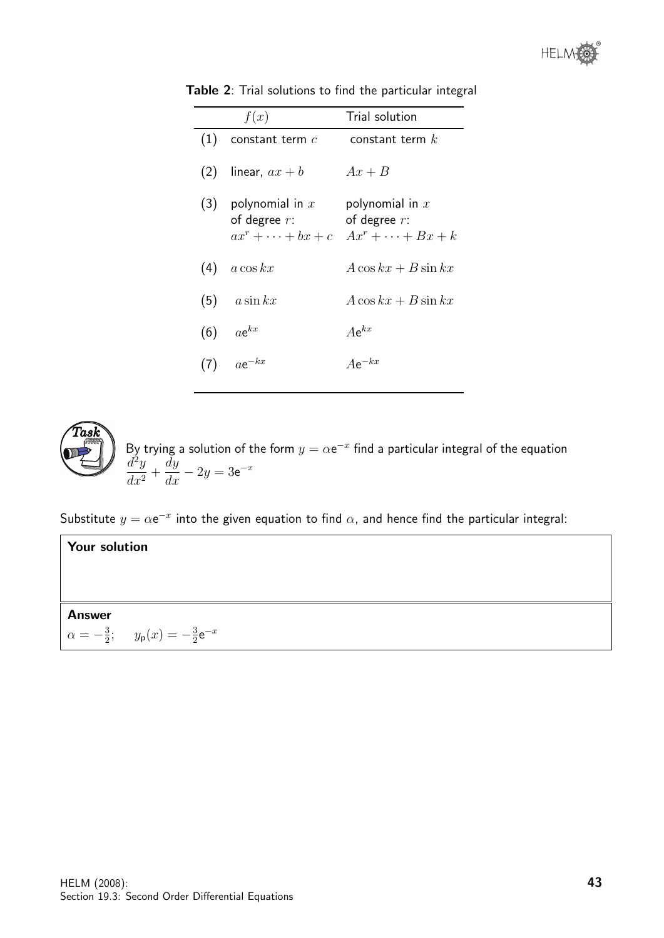|     | f(x)                                     | Trial solution                                                                                |
|-----|------------------------------------------|-----------------------------------------------------------------------------------------------|
| (1) | constant term $c$                        | constant term $k$                                                                             |
|     | (2) linear, $ax + b$                     | $Ax + B$                                                                                      |
|     | (3) polynomial in $x$<br>of degree $r$ : | polynomial in $x$<br>of degree $r$ :<br>$ax^r + \cdots + bx + c \quad Ax^r + \cdots + Bx + k$ |
| (4) | $a\cos kx$                               | $A\cos kx + B\sin kx$                                                                         |
|     | $(5)$ $a\sin kx$                         | $A\cos kx + B\sin kx$                                                                         |
| (6) | $ae^{kx}$                                | $Ae^{kx}$                                                                                     |
|     | $ae^{-kx}$                               | $Ae^{-kx}$                                                                                    |

Table 2: Trial solutions to find the particular integral



By trying a solution of the form  $y = \alpha e^{-x}$  find a particular integral of the equation  $d^2y$  $\frac{d^{2}y}{dx^{2}} +$  $\frac{dy}{dx} - 2y = 3e^{-x}$ 

Substitute  $y = \alpha e^{-x}$  into the given equation to find  $\alpha$ , and hence find the particular integral:

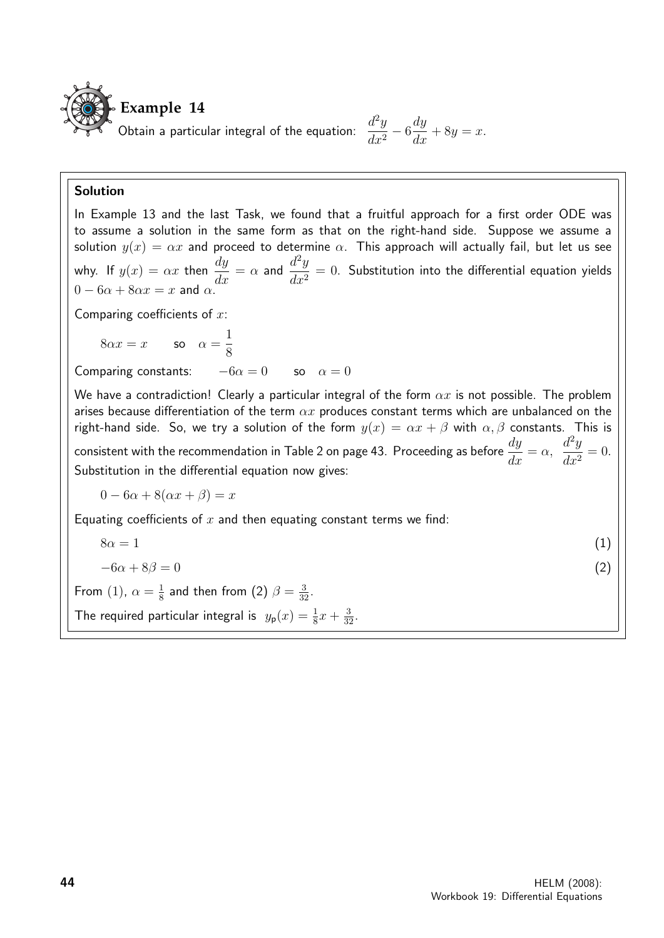

#### Solution

In Example 13 and the last Task, we found that a fruitful approach for a first order ODE was to assume a solution in the same form as that on the right-hand side. Suppose we assume a solution  $y(x) = \alpha x$  and proceed to determine  $\alpha$ . This approach will actually fail, but let us see why. If  $y(x) = \alpha x$  then  $\frac{dy}{dx} = \alpha$  and  $\frac{d^2y}{dx^2}$  $\frac{d^2y}{dx^2} = 0$ . Substitution into the differential equation yields  $0 - 6\alpha + 8\alpha x = x$  and  $\alpha$ .

Comparing coefficients of  $x$ :

 $8\alpha x = x$  so  $\alpha =$ 1 8

Comparing constants:  $-6\alpha = 0$  so  $\alpha = 0$ 

We have a contradiction! Clearly a particular integral of the form  $\alpha x$  is not possible. The problem arises because differentiation of the term  $\alpha x$  produces constant terms which are unbalanced on the right-hand side. So, we try a solution of the form  $y(x) = \alpha x + \beta$  with  $\alpha, \beta$  constants. This is consistent with the recommendation in Table 2 on page 43. Proceeding as before  $\frac{dy}{dt}$  $\frac{dy}{dx} = \alpha,$  $d^2y$  $\frac{d^2y}{dx^2} = 0.$ Substitution in the differential equation now gives:

 $0 - 6\alpha + 8(\alpha x + \beta) = x$ 

Equating coefficients of  $x$  and then equating constant terms we find:

$$
8\alpha = 1
$$
\n
$$
-6\alpha + 8\beta = 0
$$
\n(1),  $\alpha = \frac{1}{8}$  and then from (2)  $\beta = \frac{3}{32}$ .  
\nThe required particular integral is  $y_{p}(x) = \frac{1}{8}x + \frac{3}{32}$ .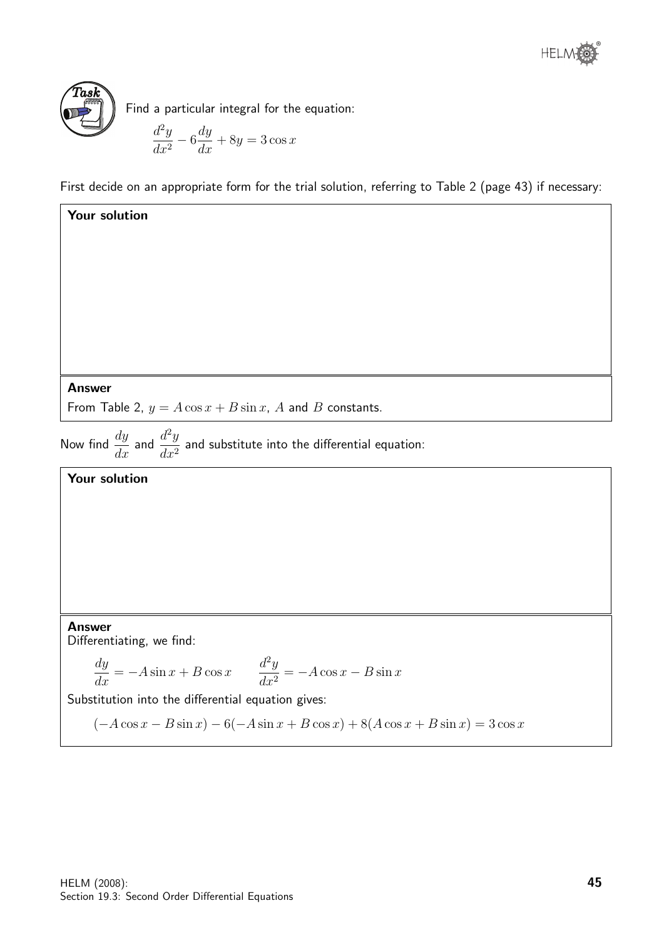

Your solution

Find a particular integral for the equation:

$$
\frac{d^2y}{dx^2} - 6\frac{dy}{dx} + 8y = 3\cos x
$$

First decide on an appropriate form for the trial solution, referring to Table 2 (page 43) if necessary:

Answer

From Table 2,  $y = A \cos x + B \sin x$ , A and B constants.

Now find  $\frac{dy}{dx}$  and  $\frac{d^2y}{dx^2}$  $\frac{d^2y}{dx^2}$  and substitute into the differential equation:

### Your solution

### Answer

Differentiating, we find:

$$
\frac{dy}{dx} = -A\sin x + B\cos x \qquad \frac{d^2y}{dx^2} = -A\cos x - B\sin x
$$

Substitution into the differential equation gives:

 $(-A\cos x - B\sin x) - 6(-A\sin x + B\cos x) + 8(A\cos x + B\sin x) = 3\cos x$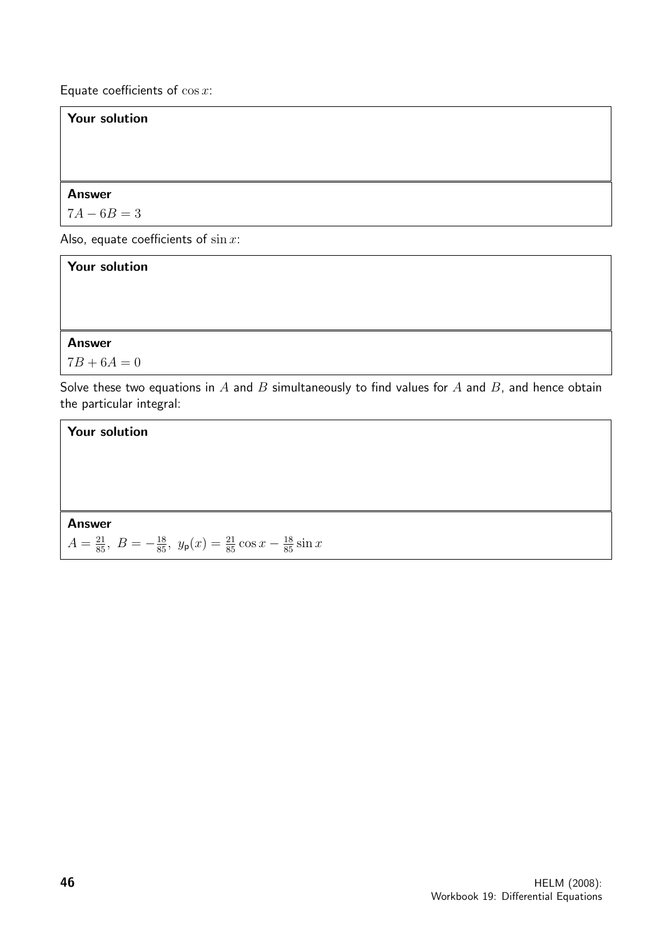Equate coefficients of  $\cos x$ :

### Your solution

### Answer

 $7A - 6B = 3$ 

Also, equate coefficients of  $\sin x$ :

| <b>Your solution</b>                                                                                                         |
|------------------------------------------------------------------------------------------------------------------------------|
|                                                                                                                              |
| <b>Answer</b>                                                                                                                |
| $7B + 6A = 0$                                                                                                                |
| Solve these two equations in A and B simultaneously to find values for A and B, and hence obtain<br>the particular integral: |

# Your solution Answer  $A = \frac{21}{85}, B = -\frac{18}{85}, y_{\mathsf{p}}(x) = \frac{21}{85}\cos x - \frac{18}{85}\sin x$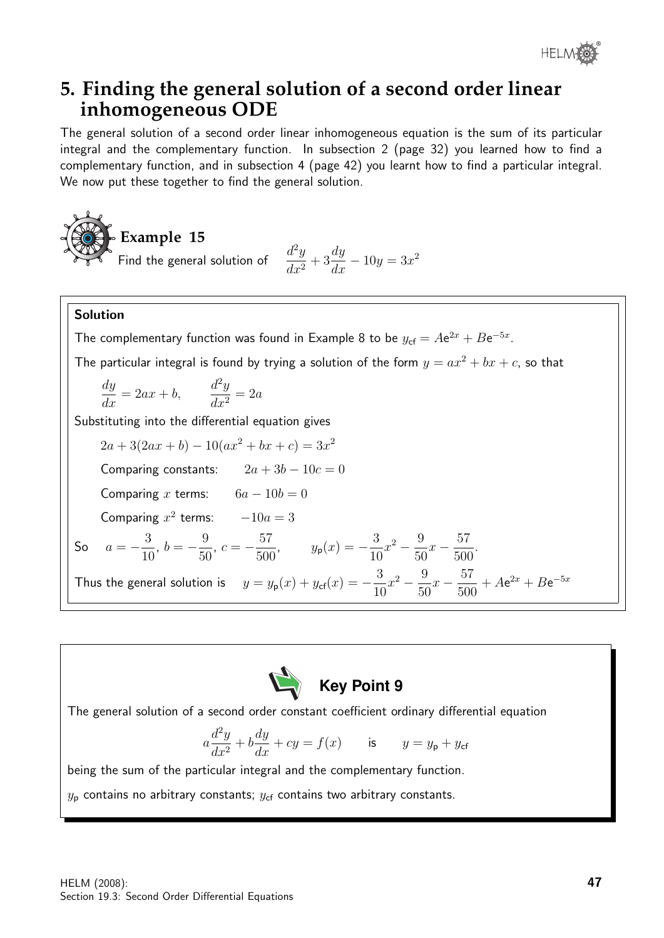

# **5. Finding the general solution of a second order linear inhomogeneous ODE**

The general solution of a second order linear inhomogeneous equation is the sum of its particular integral and the complementary function. In subsection 2 (page 32) you learned how to find a complementary function, and in subsection 4 (page 42) you learnt how to find a particular integral. We now put these together to find the general solution.



$$
\frac{d^2y}{dx^2} + 3\frac{dy}{dx} - 10y = 3x^2
$$

### Solution

The complementary function was found in Example 8 to be  $y_{cf} = Ae^{2x} + Be^{-5x}$ .

The particular integral is found by trying a solution of the form  $y = ax^2 + bx + c$ , so that

$$
\frac{dy}{dx} = 2ax + b, \qquad \frac{d^2y}{dx^2} = 2a
$$

Substituting into the differential equation gives

 $2a + 3(2ax + b) - 10(ax^2 + bx + c) = 3x^2$ Comparing constants:  $2a + 3b - 10c = 0$ Comparing x terms:  $6a - 10b = 0$ Comparing  $x^2$  terms:  $-10a = 3$ So  $a = -\frac{3}{16}$ 10 ,  $b = -\frac{9}{50}$ 50 ,  $c = -\frac{57}{500}$  $\frac{57}{500}$ ,  $y_p(x) = -\frac{3}{10}$ 10  $x^2 - \frac{9}{5}$ 50  $x-\frac{57}{500}$ 500 . Thus the general solution is  $y = y_{\mathsf{p}}(x) + y_{\mathsf{cf}}(x) = -\frac{3}{16}$ 10  $x^2 - \frac{9}{5}$ 50  $x-\frac{57}{500}$ 500  $+ Ae^{2x} + Be^{-5x}$ 



The general solution of a second order constant coefficient ordinary differential equation

$$
a\frac{d^2y}{dx^2} + b\frac{dy}{dx} + cy = f(x) \qquad \text{is} \qquad y = y_\mathsf{p} + y_\mathsf{cf}
$$

being the sum of the particular integral and the complementary function.

 $y_{\rm p}$  contains no arbitrary constants;  $y_{\rm cf}$  contains two arbitrary constants.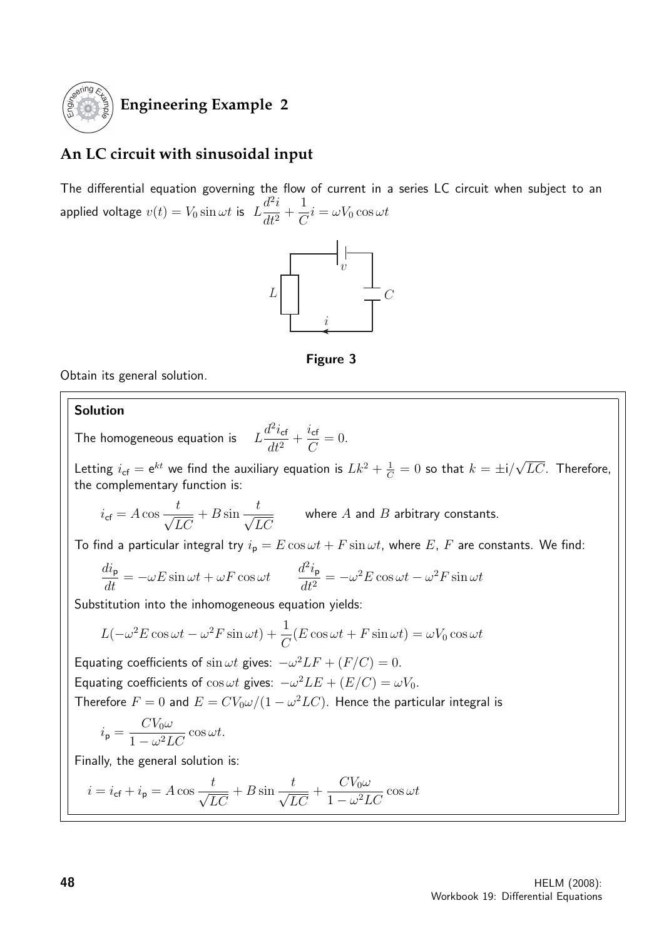

### **Engineering Example 2**

### **An LC circuit with sinusoidal input**

The differential equation governing the flow of current in a series LC circuit when subject to an applied voltage  $v(t) = V_0 \sin \omega t$  is  $L$  $d^2i$  $\frac{d}{dt^2} +$ 1  $\frac{1}{C}i = \omega V_0 \cos \omega t$ 





Obtain its general solution.

### Solution

The homogeneous equation is  $d^2i_{\textsf{cf}}$  $\frac{d^2i_{\textsf{cf}}}{dt^2} + \frac{i_{\textsf{cf}}}{C}$ 

Letting  $i_{\textsf{cf}} = e^{kt}$  we find the auxiliary equation is  $Lk^2 + \frac{1}{C} = 0$  so that  $k = \pm i/2$ √  $LC$ . Therefore, the complementary function is:

 $= 0.$ 

$$
i_{\text{cf}} = A \cos \frac{t}{\sqrt{LC}} + B \sin \frac{t}{\sqrt{LC}}
$$
 where *A* and *B* arbitrary constants.

 $\mathcal{C}$ 

To find a particular integral try  $i_p = E \cos \omega t + F \sin \omega t$ , where E, F are constants. We find:

$$
\frac{di_{\mathbf{p}}}{dt} = -\omega E \sin \omega t + \omega F \cos \omega t \qquad \frac{d^2 i_{\mathbf{p}}}{dt^2} = -\omega^2 E \cos \omega t - \omega^2 F \sin \omega t
$$

Substitution into the inhomogeneous equation yields:

$$
L(-\omega^{2} E \cos \omega t - \omega^{2} F \sin \omega t) + \frac{1}{C} (E \cos \omega t + F \sin \omega t) = \omega V_{0} \cos \omega t
$$

Equating coefficients of  $\sin \omega t$  gives:  $-\omega^2 LF + (F/C) = 0$ . Equating coefficients of  $\cos \omega t$  gives:  $-\omega^2 LE + (E/C) = \omega V_0$ . Therefore  $F=0$  and  $E=CV_0\omega/(1-\omega^2 LC)$ . Hence the particular integral is

$$
i_{\rm p} = \frac{CV_0\omega}{1 - \omega^2 LC}\cos\omega t.
$$

Finally, the general solution is:

$$
i = i_{\rm cf} + i_{\rm p} = A \cos \frac{t}{\sqrt{LC}} + B \sin \frac{t}{\sqrt{LC}} + \frac{CV_0\omega}{1 - \omega^2 LC} \cos \omega t
$$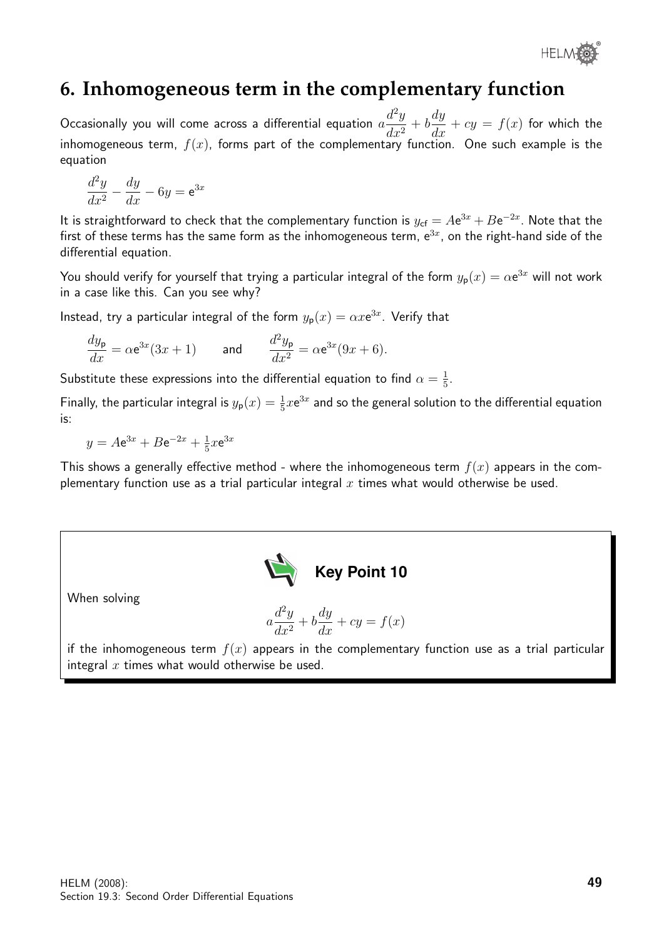® **HELMOR** 

# **6. Inhomogeneous term in the complementary function**

Occasionally you will come across a differential equation  $a$  $d^2y$  $\frac{d^2y}{dx^2} + b$ dy  $\frac{dy}{dx} + cy = f(x)$  for which the inhomogeneous term,  $f(x)$ , forms part of the complementary function. One such example is the equation

$$
\frac{d^2y}{dx^2} - \frac{dy}{dx} - 6y = e^{3x}
$$

It is straightforward to check that the complementary function is  $y_{\text{cf}} = A\text{e}^{3x}+B\text{e}^{-2x}$ . Note that the first of these terms has the same form as the inhomogeneous term,  $e^{3x}$ , on the right-hand side of the differential equation.

You should verify for yourself that trying a particular integral of the form  $y_{\sf p}(x)=\alpha{\sf e}^{3x}$  will not work in a case like this. Can you see why?

Instead, try a particular integral of the form  $y_{\mathsf{p}}(x) = \alpha x \mathsf{e}^{3x}$ . Verify that

$$
\frac{dy_{\mathbf{p}}}{dx} = \alpha \mathbf{e}^{3x} (3x + 1) \quad \text{and} \quad \frac{d^2 y_{\mathbf{p}}}{dx^2} = \alpha \mathbf{e}^{3x} (9x + 6).
$$

Substitute these expressions into the differential equation to find  $\alpha = \frac{1}{5}$  $\frac{1}{5}$ .

Finally, the particular integral is  $y_p(x) = \frac{1}{5}xe^{3x}$  and so the general solution to the differential equation is:

 $y = Ae^{3x} + Be^{-2x} + \frac{1}{5}$  $\frac{1}{5}x e^{3x}$ 

This shows a generally effective method - where the inhomogeneous term  $f(x)$  appears in the complementary function use as a trial particular integral  $x$  times what would otherwise be used.



When solving

$$
a\frac{d^2y}{dx^2} + b\frac{dy}{dx} + cy = f(x)
$$

if the inhomogeneous term  $f(x)$  appears in the complementary function use as a trial particular integral  $x$  times what would otherwise be used.